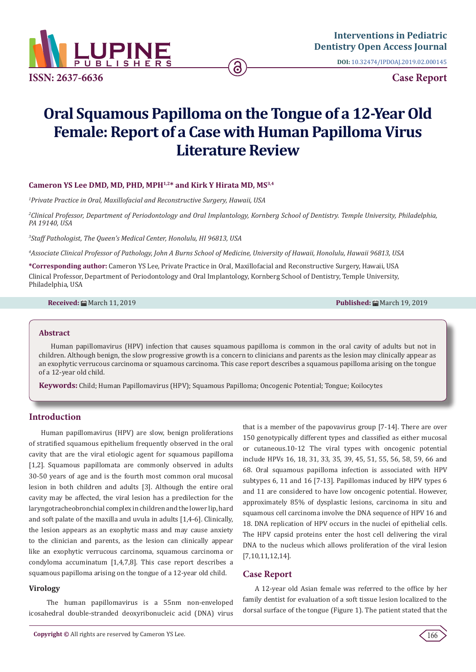

**DOI:** [10.32474/IPDOAJ.2019.02.000145](http://dx.doi.org/10.32474/IPDOAJ.2019.02.000145)

# **Oral Squamous Papilloma on the Tongue of a 12-Year Old Female: Report of a Case with Human Papilloma Virus Literature Review**

ခ

## **Cameron YS Lee DMD, MD, PHD, MPH1,2\* and Kirk Y Hirata MD, MS3,4**

*1 Private Practice in Oral, Maxillofacial and Reconstructive Surgery, Hawaii, USA*

*2 Clinical Professor, Department of Periodontology and Oral Implantology, Kornberg School of Dentistry. Temple University, Philadelphia, PA 19140, USA*

*3 Staff Pathologist, The Queen's Medical Center, Honolulu, HI 96813, USA*

*4 Associate Clinical Professor of Pathology, John A Burns School of Medicine, University of Hawaii, Honolulu, Hawaii 96813, USA*

**\*Corresponding author:** Cameron YS Lee, Private Practice in Oral, Maxillofacial and Reconstructive Surgery, Hawaii, USA Clinical Professor, Department of Periodontology and Oral Implantology, Kornberg School of Dentistry, Temple University, Philadelphia, USA

**Received:** March 11, 2019 **Published:** March 19, 2019

#### **Abstract**

Human papillomavirus (HPV) infection that causes squamous papilloma is common in the oral cavity of adults but not in children. Although benign, the slow progressive growth is a concern to clinicians and parents as the lesion may clinically appear as an exophytic verrucous carcinoma or squamous carcinoma. This case report describes a squamous papilloma arising on the tongue of a 12-year old child.

**Keywords:** Child; Human Papillomavirus (HPV); Squamous Papilloma; Oncogenic Potential; Tongue; Koilocytes

## **Introduction**

Human papillomavirus (HPV) are slow, benign proliferations of stratified squamous epithelium frequently observed in the oral cavity that are the viral etiologic agent for squamous papilloma [1,2]. Squamous papillomata are commonly observed in adults 30-50 years of age and is the fourth most common oral mucosal lesion in both children and adults [3]. Although the entire oral cavity may be affected, the viral lesion has a predilection for the laryngotracheobronchial complex in children and the lower lip, hard and soft palate of the maxilla and uvula in adults [1,4-6]. Clinically, the lesion appears as an exophytic mass and may cause anxiety to the clinician and parents, as the lesion can clinically appear like an exophytic verrucous carcinoma, squamous carcinoma or condyloma accuminatum [1,4,7,8]. This case report describes a squamous papilloma arising on the tongue of a 12-year old child.

#### **Virology**

 The human papillomavirus is a 55nm non-enveloped icosahedral double-stranded deoxyribonucleic acid (DNA) virus that is a member of the papovavirus group [7-14]. There are over 150 genotypically different types and classified as either mucosal or cutaneous.10-12 The viral types with oncogenic potential include HPVs 16, 18, 31, 33, 35, 39, 45, 51, 55, 56, 58, 59, 66 and 68. Oral squamous papilloma infection is associated with HPV subtypes 6, 11 and 16 [7-13]. Papillomas induced by HPV types 6 and 11 are considered to have low oncogenic potential. However, approximately 85% of dysplastic lesions, carcinoma in situ and squamous cell carcinoma involve the DNA sequence of HPV 16 and 18. DNA replication of HPV occurs in the nuclei of epithelial cells. The HPV capsid proteins enter the host cell delivering the viral DNA to the nucleus which allows proliferation of the viral lesion [7,10,11,12,14].

#### **Case Report**

A 12-year old Asian female was referred to the office by her family dentist for evaluation of a soft tissue lesion localized to the dorsal surface of the tongue (Figure 1). The patient stated that the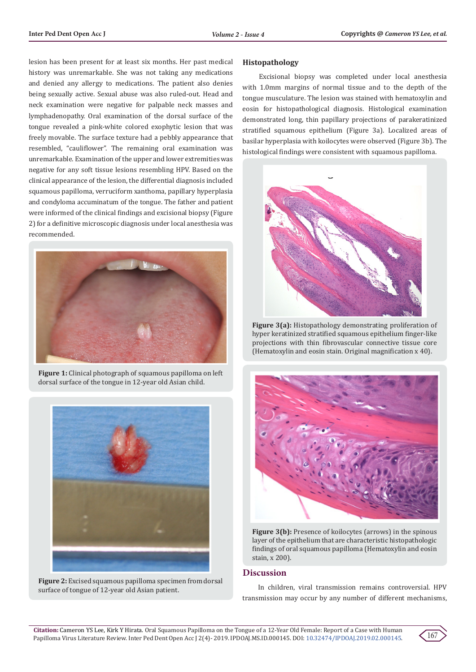lesion has been present for at least six months. Her past medical history was unremarkable. She was not taking any medications and denied any allergy to medications. The patient also denies being sexually active. Sexual abuse was also ruled-out. Head and neck examination were negative for palpable neck masses and lymphadenopathy. Oral examination of the dorsal surface of the tongue revealed a pink-white colored exophytic lesion that was freely movable. The surface texture had a pebbly appearance that resembled, "cauliflower". The remaining oral examination was unremarkable. Examination of the upper and lower extremities was negative for any soft tissue lesions resembling HPV. Based on the clinical appearance of the lesion, the differential diagnosis included squamous papilloma, verruciform xanthoma, papillary hyperplasia and condyloma accuminatum of the tongue. The father and patient were informed of the clinical findings and excisional biopsy (Figure 2) for a definitive microscopic diagnosis under local anesthesia was recommended.



**Figure 1:** Clinical photograph of squamous papilloma on left dorsal surface of the tongue in 12-year old Asian child.



**Figure 2:** Excised squamous papilloma specimen from dorsal surface of tongue of 12-year old Asian patient.

## **Histopathology**

 Excisional biopsy was completed under local anesthesia with 1.0mm margins of normal tissue and to the depth of the tongue musculature. The lesion was stained with hematoxylin and eosin for histopathological diagnosis. Histological examination demonstrated long, thin papillary projections of parakeratinized stratified squamous epithelium (Figure 3a). Localized areas of basilar hyperplasia with koilocytes were observed (Figure 3b). The histological findings were consistent with squamous papilloma.



**Figure 3(a):** Histopathology demonstrating proliferation of hyper keratinized stratified squamous epithelium finger-like projections with thin fibrovascular connective tissue core (Hematoxylin and eosin stain. Original magnification x 40).



Figure 3(b): Presence of koilocytes (arrows) in the spinous layer of the epithelium that are characteristic histopathologic findings of oral squamous papilloma (Hematoxylin and eosin stain, x 200).

## **Discussion**

 In children, viral transmission remains controversial. HPV transmission may occur by any number of different mechanisms,

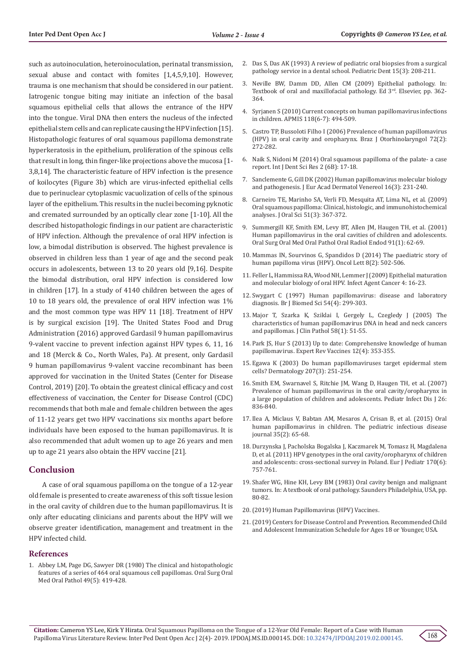such as autoinoculation, heteroinoculation, perinatal transmission, sexual abuse and contact with fomites [1,4,5,9,10]. However, trauma is one mechanism that should be considered in our patient. Iatrogenic tongue biting may initiate an infection of the basal squamous epithelial cells that allows the entrance of the HPV into the tongue. Viral DNA then enters the nucleus of the infected epithelial stem cells and can replicate causing the HPV infection [15]. Histopathologic features of oral squamous papilloma demonstrate hyperkeratosis in the epithelium, proliferation of the spinous cells that result in long, thin finger-like projections above the mucosa [1- 3,8,14]. The characteristic feature of HPV infection is the presence of koilocytes (Figure 3b) which are virus-infected epithelial cells due to perinuclear cytoplasmic vacuolization of cells of the spinous layer of the epithelium. This results in the nuclei becoming pyknotic and cremated surrounded by an optically clear zone [1-10]. All the described histopathologic findings in our patient are characteristic of HPV infection. Although the prevalence of oral HPV infection is low, a bimodal distribution is observed. The highest prevalence is observed in children less than 1 year of age and the second peak occurs in adolescents, between 13 to 20 years old [9,16]. Despite the bimodal distribution, oral HPV infection is considered low in children [17]. In a study of 4140 children between the ages of 10 to 18 years old, the prevalence of oral HPV infection was 1% and the most common type was HPV 11 [18]. Treatment of HPV is by surgical excision [19]. The United States Food and Drug Administration (2016) approved Gardasil 9 human papillomavirus 9-valent vaccine to prevent infection against HPV types 6, 11, 16 and 18 (Merck & Co., North Wales, Pa). At present, only Gardasil 9 human papillomavirus 9-valent vaccine recombinant has been approved for vaccination in the United States (Center for Disease Control, 2019) [20]. To obtain the greatest clinical efficacy and cost effectiveness of vaccination, the Center for Disease Control (CDC) recommends that both male and female children between the ages of 11-12 years get two HPV vaccinations six months apart before individuals have been exposed to the human papillomavirus. It is also recommended that adult women up to age 26 years and men up to age 21 years also obtain the HPV vaccine [21].

## **Conclusion**

 A case of oral squamous papilloma on the tongue of a 12-year old female is presented to create awareness of this soft tissue lesion in the oral cavity of children due to the human papillomavirus. It is only after educating clinicians and parents about the HPV will we observe greater identification, management and treatment in the HPV infected child.

#### **References**

1. Abbey LM, Page DG, Sawyer DR (1980) The clinical and histopathologic features of a series of 464 oral squamous cell papillomas. Oral Surg Oral Med Oral Pathol 49(5): 419-428.

- 2. Das S, Das AK (1993) A review of pediatric oral biopsies from a surgical pathology service in a dental school. Pediatric Dent 15(3): 208-211.
- 3. Neville BW, Damm DD, Allen CM (2009) Epithelial pathology. In: Textbook of oral and maxillofacial pathology. Ed 3<sup>rd</sup>. Elsevier, pp. 362-364.
- 4. Syrjanen S (2010) Current concepts on human papillomavirus infections in children. APMIS 118(6-7): 494-509.
- 5. Castro TP, Bussoloti Filho I (2006) Prevalence of human papillomavirus (HPV) in oral cavity and oropharynx. Braz J Otorhinolaryngol 72(2): 272-282.
- 6. Naik S, Nidoni M (2014) Oral squamous papilloma of the palate- a case report. Int J Dent Sci Res 2 (6B): 17-18.
- 7. Sanclemente G, Gill DK (2002) Human papillomavirus molecular biology and pathogenesis. J Eur Acad Dermatol Venereol 16(3): 231-240.
- 8. Carneiro TE, Marinho SA, Verli FD, Mesquita AT, Lima NL, et al. (2009) Oral squamous papilloma: Clinical, histologic, and immunohistochemical analyses. J Oral Sci 51(3): 367-372.
- 9. Summergill KF, Smith EM, Levy BT, Allen JM, Haugen TH, et al. (2001) Human papillomavirus in the oral cavities of children and adolescents. Oral Surg Oral Med Oral Pathol Oral Radiol Endod 91(1): 62-69.
- 10. Mammas IN, Sourvinos G, Spandidos D (2014) The paediatric story of human papilloma virus (HPV). Oncol Lett 8(2): 502-506.
- 11. Feller L, Hammissa RA, Wood NH, Lemmer J (2009) Epithelial maturation and molecular biology of oral HPV. Infect Agent Cancer 4: 16-23.
- 12. Swygart C (1997) Human papillomavirus: disease and laboratory diagnosis. Br J Biomed Sci 54(4): 299-303.
- 13. Major T, Szarka K, Sziklai I, Gergely L, Czegledy J (2005) The characteristics of human papillomavirus DNA in head and neck cancers and papillomas. J Clin Pathol 58(1): 51-55.
- 14. Park JS, Hur S (2013) Up to date: Comprehensive knowledge of human papillomavirus. Expert Rev Vaccines 12(4): 353-355.
- 15. Egawa K (2003) Do human papillomaviruses target epidermal stem cells? Dermatology 207(3): 251-254.
- 16. Smith EM, Swarnavel S, Ritchie JM, Wang D, Haugen TH, et al. (2007) Prevalence of human papillomavirus in the oral cavity/oropharynx in a large population of children and adolescents. Pediatr Infect Dis J 26: 836-840.
- 17. Ilea A, Miclaus V, Babtan AM, Mesaros A, Crisan B, et al. (2015) Oral human papillomavirus in children. The pediatric infectious disease journal 35(2): 65-68.
- 18. Durzynska J, Pacholska Bogalska J, Kaczmarek M, Tomasz H, Magdalena D, et al. (2011) HPV genotypes in the oral cavity/oropharynx of children and adolescents: cross-sectional survey in Poland. Eur J Pediatr 170(6): 757-761.
- 19. Shafer WG, Hine KH, Levy BM (1983) Oral cavity benign and malignant tumors. In: A textbook of oral pathology. Saunders Philadelphia, USA, pp. 80-82.
- 20.(2019) Human Papillomavirus (HPV) Vaccines.
- 21.(2019) Centers for Disease Control and Prevention. Recommended Child and Adolescent Immunization Schedule for Ages 18 or Younger, USA.